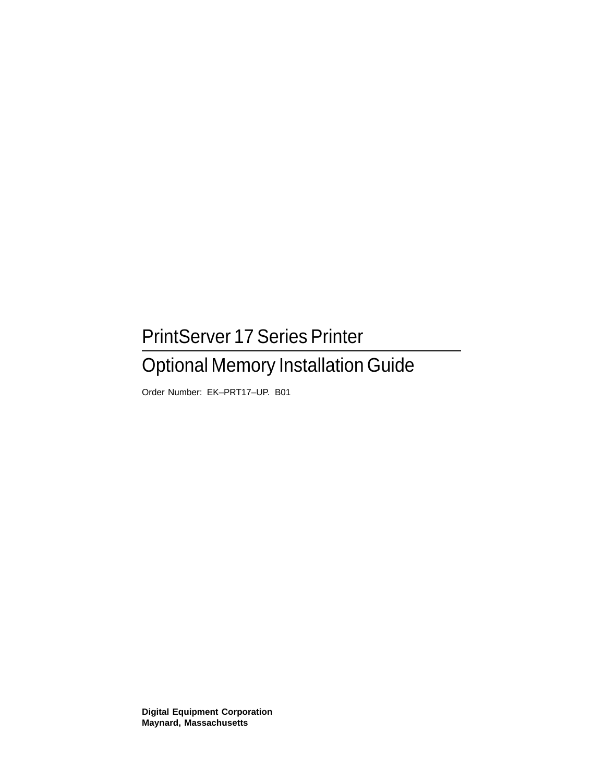## PrintServer 17 Series Printer

## Optional Memory Installation Guide

Order Number: EK–PRT17–UP. B01

**Digital Equipment Corporation Maynard, Massachusetts**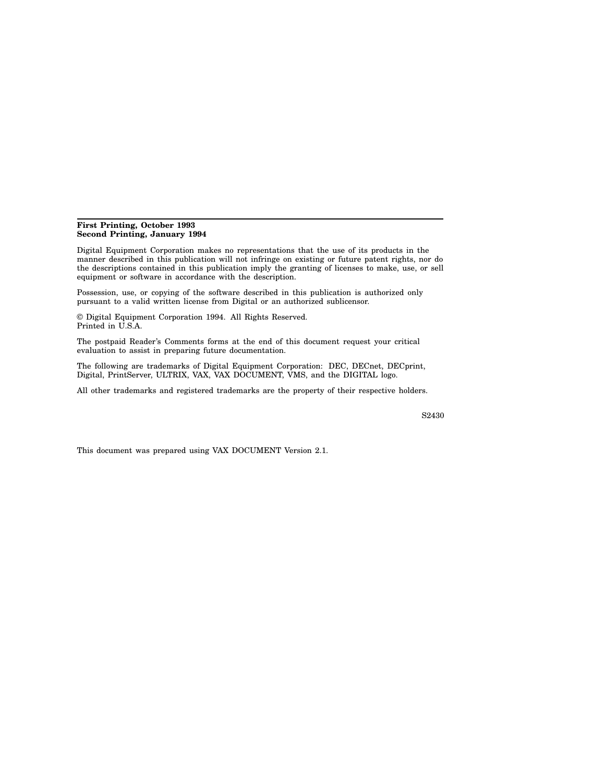#### **First Printing, October 1993 Second Printing, January 1994**

Digital Equipment Corporation makes no representations that the use of its products in the manner described in this publication will not infringe on existing or future patent rights, nor do the descriptions contained in this publication imply the granting of licenses to make, use, or sell equipment or software in accordance with the description.

Possession, use, or copying of the software described in this publication is authorized only pursuant to a valid written license from Digital or an authorized sublicensor.

© Digital Equipment Corporation 1994. All Rights Reserved. Printed in U.S.A.

The postpaid Reader's Comments forms at the end of this document request your critical evaluation to assist in preparing future documentation.

The following are trademarks of Digital Equipment Corporation: DEC, DECnet, DECprint, Digital, PrintServer, ULTRIX, VAX, VAX DOCUMENT, VMS, and the DIGITAL logo.

All other trademarks and registered trademarks are the property of their respective holders.

S2430

This document was prepared using VAX DOCUMENT Version 2.1.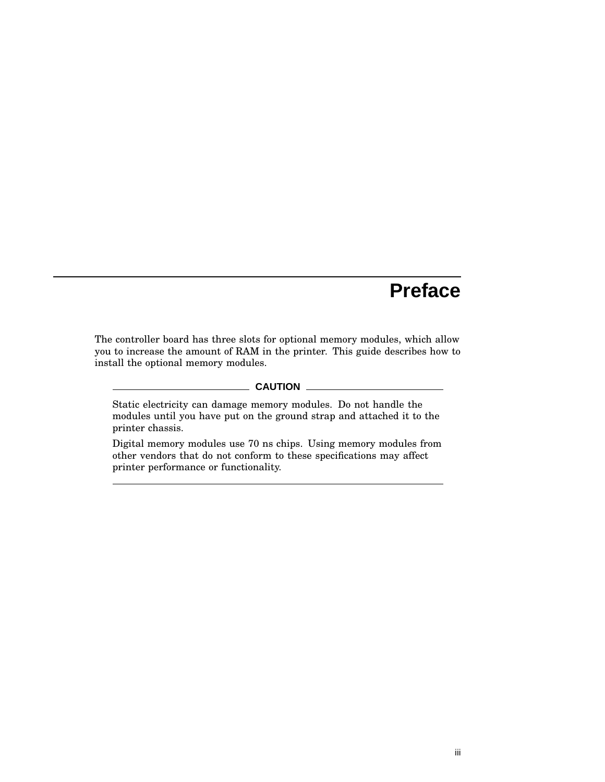## **Preface**

The controller board has three slots for optional memory modules, which allow you to increase the amount of RAM in the printer. This guide describes how to install the optional memory modules.

#### **CAUTION**

Static electricity can damage memory modules. Do not handle the modules until you have put on the ground strap and attached it to the printer chassis.

Digital memory modules use 70 ns chips. Using memory modules from other vendors that do not conform to these specifications may affect printer performance or functionality.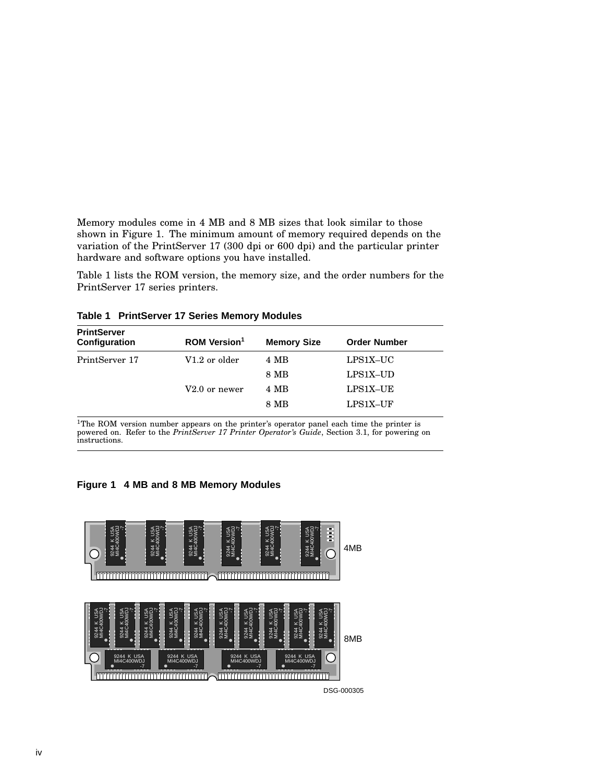Memory modules come in 4 MB and 8 MB sizes that look similar to those shown in Figure 1. The minimum amount of memory required depends on the variation of the PrintServer 17 (300 dpi or 600 dpi) and the particular printer hardware and software options you have installed.

Table 1 lists the ROM version, the memory size, and the order numbers for the PrintServer 17 series printers.

| <b>ROM Version<sup>1</sup></b> |      | <b>Order Number</b> |
|--------------------------------|------|---------------------|
| V1.2 or older                  | 4 MB | $LPS1X-UC$          |
|                                | 8 MB | LPS1X-UD            |
| $V2.0$ or newer                | 4 MB | LPS1X-UE            |
|                                | 8 MB | LPS1X-UF            |
|                                |      | <b>Memory Size</b>  |

**Table 1 PrintServer 17 Series Memory Modules**

 $1$ The ROM version number appears on the printer's operator panel each time the printer is powered on. Refer to the *PrintServer 17 Printer Operator's Guide*, Section 3.1, for powering on instructions.

#### **Figure 1 4 MB and 8 MB Memory Modules**

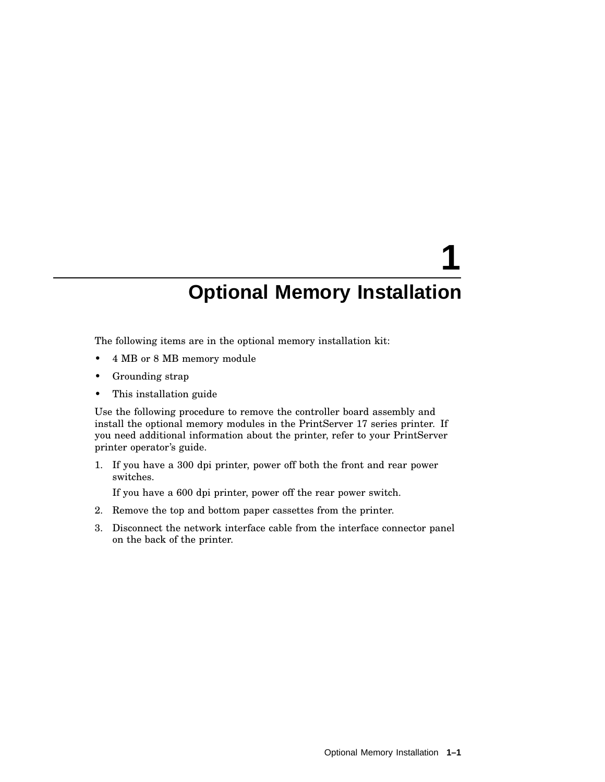# **1 Optional Memory Installation**

The following items are in the optional memory installation kit:

- 4 MB or 8 MB memory module
- Grounding strap
- This installation guide

Use the following procedure to remove the controller board assembly and install the optional memory modules in the PrintServer 17 series printer. If you need additional information about the printer, refer to your PrintServer printer operator's guide.

1. If you have a 300 dpi printer, power off both the front and rear power switches.

If you have a 600 dpi printer, power off the rear power switch.

- 2. Remove the top and bottom paper cassettes from the printer.
- 3. Disconnect the network interface cable from the interface connector panel on the back of the printer.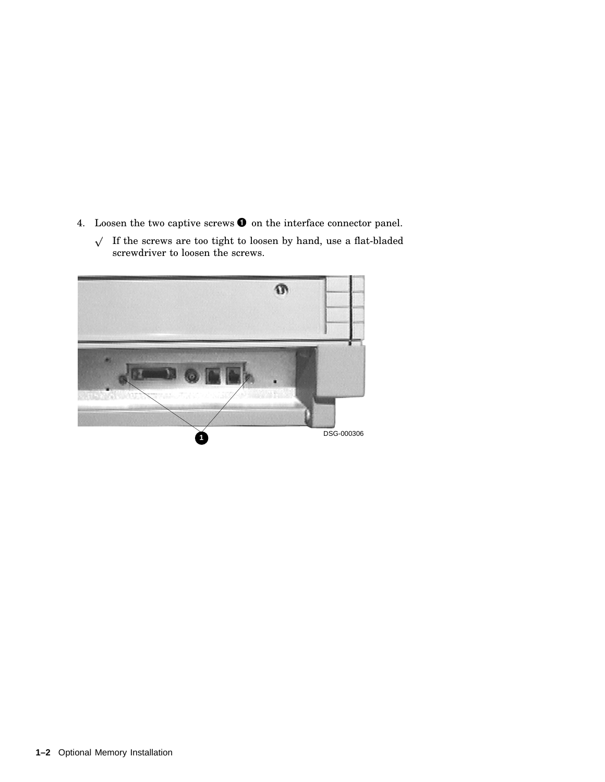- 4. Loosen the two captive screws  $\bullet$  on the interface connector panel.
	- $\sqrt{ }$  If the screws are too tight to loosen by hand, use a flat-bladed screwdriver to loosen the screws.

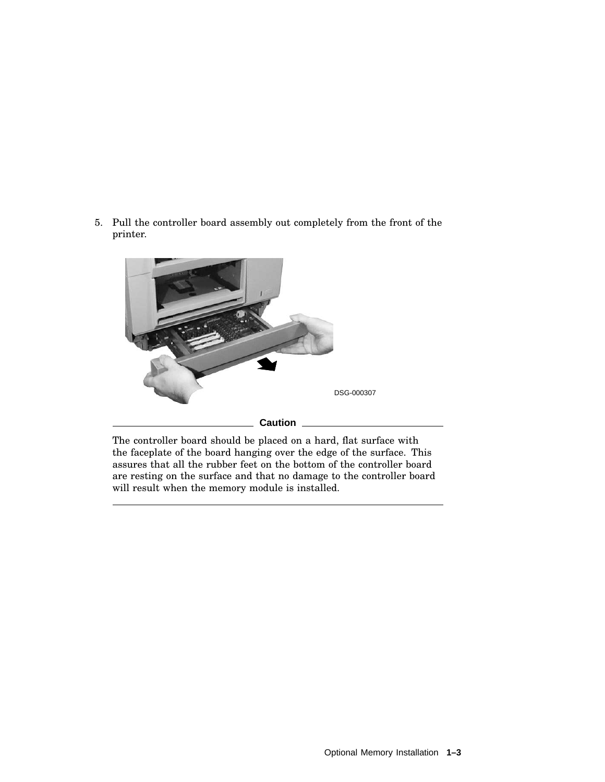5. Pull the controller board assembly out completely from the front of the printer.



The controller board should be placed on a hard, flat surface with the faceplate of the board hanging over the edge of the surface. This assures that all the rubber feet on the bottom of the controller board are resting on the surface and that no damage to the controller board will result when the memory module is installed.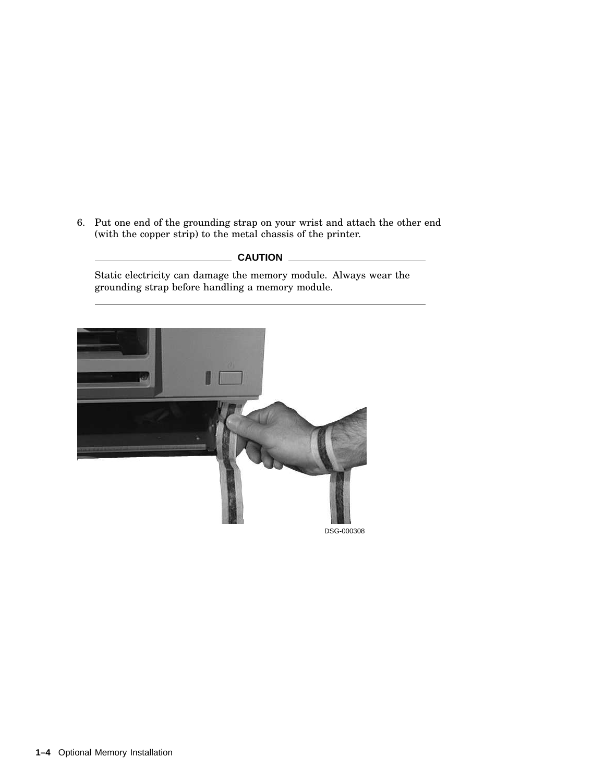6. Put one end of the grounding strap on your wrist and attach the other end (with the copper strip) to the metal chassis of the printer.

### **CAUTION**

Static electricity can damage the memory module. Always wear the grounding strap before handling a memory module.

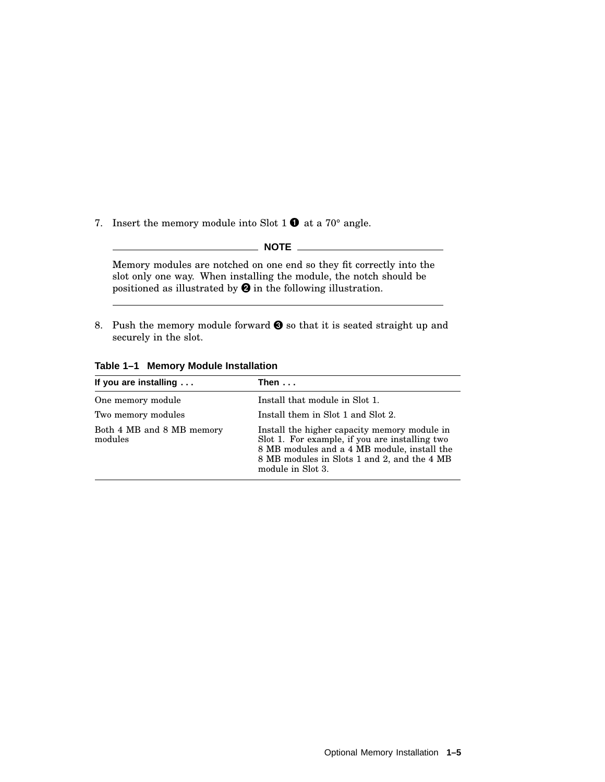7. Insert the memory module into Slot  $1 \bullet$  at a 70° angle.

**NOTE**

Memory modules are notched on one end so they fit correctly into the slot only one way. When installing the module, the notch should be positioned as illustrated by  $\Theta$  in the following illustration.

8. Push the memory module forward  $\bigcirc$  so that it is seated straight up and securely in the slot.

|  |  |  | Table 1-1 Memory Module Installation |
|--|--|--|--------------------------------------|
|--|--|--|--------------------------------------|

| If you are installing                | Then...                                                                                                                                                                                                           |  |
|--------------------------------------|-------------------------------------------------------------------------------------------------------------------------------------------------------------------------------------------------------------------|--|
| One memory module                    | Install that module in Slot 1.                                                                                                                                                                                    |  |
| Two memory modules                   | Install them in Slot 1 and Slot 2.                                                                                                                                                                                |  |
| Both 4 MB and 8 MB memory<br>modules | Install the higher capacity memory module in<br>Slot 1. For example, if you are installing two<br>8 MB modules and a 4 MB module, install the<br>8 MB modules in Slots 1 and 2, and the 4 MB<br>module in Slot 3. |  |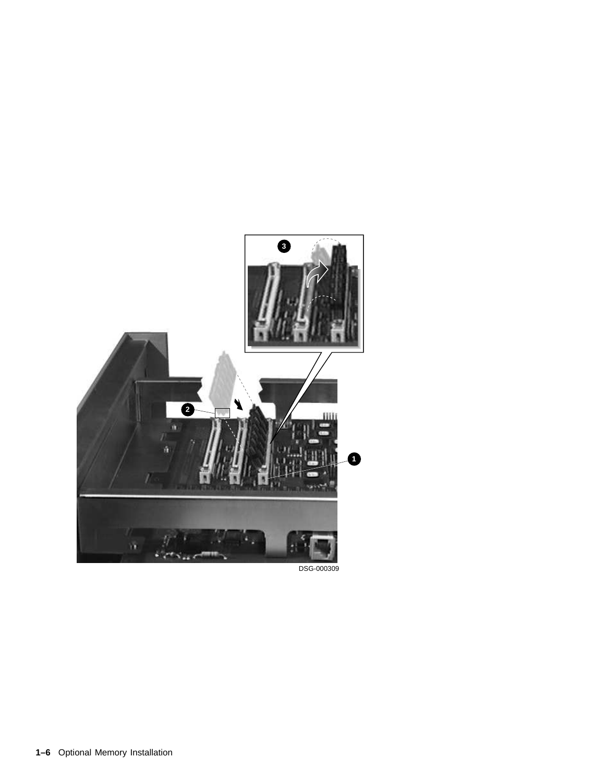

DSG-000309